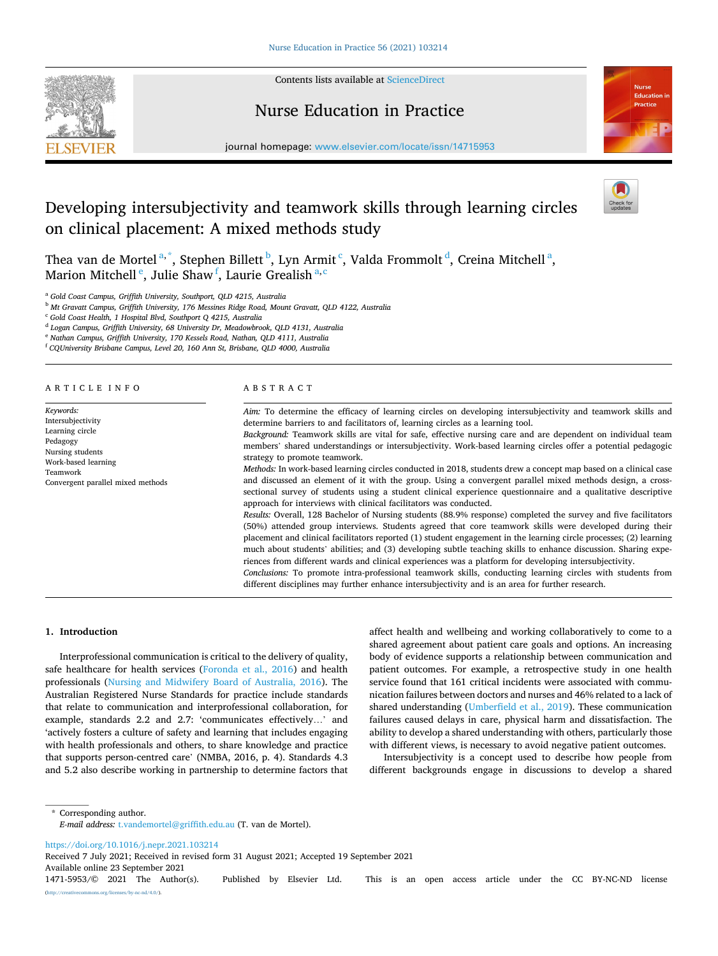

Contents lists available at [ScienceDirect](www.sciencedirect.com/science/journal/14715953)

## Nurse Education in Practice



journal homepage: [www.elsevier.com/locate/issn/14715953](https://www.elsevier.com/locate/issn/14715953) 

# Developing intersubjectivity and teamwork skills through learning circles on clinical placement: A mixed methods study



Thea van de Mortel<sup>a,\*</sup>, Stephen Billett <sup>b</sup>, Lyn Armit <sup>c</sup>, Valda Frommolt <sup>d</sup>, Creina Mitchell <sup>a</sup>, Marion Mitchell<sup>e</sup>, Julie Shaw<sup>f</sup>, Laurie Grealish <sup>a, c</sup>

<sup>a</sup> *Gold Coast Campus, Griffith University, Southport, QLD 4215, Australia* 

<sup>b</sup> *Mt Gravatt Campus, Griffith University, 176 Messines Ridge Road, Mount Gravatt, QLD 4122, Australia* 

<sup>c</sup> *Gold Coast Health, 1 Hospital Blvd, Southport Q 4215, Australia* 

<sup>d</sup> *Logan Campus, Griffith University, 68 University Dr, Meadowbrook, QLD 4131, Australia* 

<sup>e</sup> *Nathan Campus, Griffith University, 170 Kessels Road, Nathan, QLD 4111, Australia* 

<sup>f</sup> *CQUniversity Brisbane Campus, Level 20, 160 Ann St, Brisbane, QLD 4000, Australia* 

ARTICLE INFO

*Keywords:*  Intersubjectivity Learning circle Pedagogy Nursing students Work-based learning Teamwork Convergent parallel mixed methods

#### ABSTRACT

*Aim:* To determine the efficacy of learning circles on developing intersubjectivity and teamwork skills and determine barriers to and facilitators of, learning circles as a learning tool. *Background:* Teamwork skills are vital for safe, effective nursing care and are dependent on individual team members' shared understandings or intersubjectivity. Work-based learning circles offer a potential pedagogic

strategy to promote teamwork. *Methods:* In work-based learning circles conducted in 2018, students drew a concept map based on a clinical case and discussed an element of it with the group. Using a convergent parallel mixed methods design, a crosssectional survey of students using a student clinical experience questionnaire and a qualitative descriptive approach for interviews with clinical facilitators was conducted.

*Results:* Overall, 128 Bachelor of Nursing students (88.9% response) completed the survey and five facilitators (50%) attended group interviews. Students agreed that core teamwork skills were developed during their placement and clinical facilitators reported (1) student engagement in the learning circle processes; (2) learning much about students' abilities; and (3) developing subtle teaching skills to enhance discussion. Sharing experiences from different wards and clinical experiences was a platform for developing intersubjectivity.

*Conclusions:* To promote intra-professional teamwork skills, conducting learning circles with students from different disciplines may further enhance intersubjectivity and is an area for further research.

## **1. Introduction**

Interprofessional communication is critical to the delivery of quality, safe healthcare for health services [\(Foronda et al., 2016](#page-5-0)) and health professionals ([Nursing and Midwifery Board of Australia, 2016\)](#page-5-0). The Australian Registered Nurse Standards for practice include standards that relate to communication and interprofessional collaboration, for example, standards 2.2 and 2.7: 'communicates effectively…' and 'actively fosters a culture of safety and learning that includes engaging with health professionals and others, to share knowledge and practice that supports person-centred care' (NMBA, 2016, p. 4). Standards 4.3 and 5.2 also describe working in partnership to determine factors that affect health and wellbeing and working collaboratively to come to a shared agreement about patient care goals and options. An increasing body of evidence supports a relationship between communication and patient outcomes. For example, a retrospective study in one health service found that 161 critical incidents were associated with communication failures between doctors and nurses and 46% related to a lack of shared understanding ([Umberfield et al., 2019\)](#page-5-0). These communication failures caused delays in care, physical harm and dissatisfaction. The ability to develop a shared understanding with others, particularly those with different views, is necessary to avoid negative patient outcomes.

Intersubjectivity is a concept used to describe how people from different backgrounds engage in discussions to develop a shared

\* Corresponding author. *E-mail address:* [t.vandemortel@griffith.edu.au](mailto:t.vandemortel@griffith.edu.au) (T. van de Mortel).

<https://doi.org/10.1016/j.nepr.2021.103214>

Available online 23 September 2021 Received 7 July 2021; Received in revised form 31 August 2021; Accepted 19 September 2021

1471-5953/© 2021 The Author(s). Published by Elsevier Ltd. This is an open access article under the CC BY-NC-ND license [\(http://creativecommons.org/licenses/by-nc-nd/4.0/\)](http://creativecommons.org/licenses/by-nc-nd/4.0/).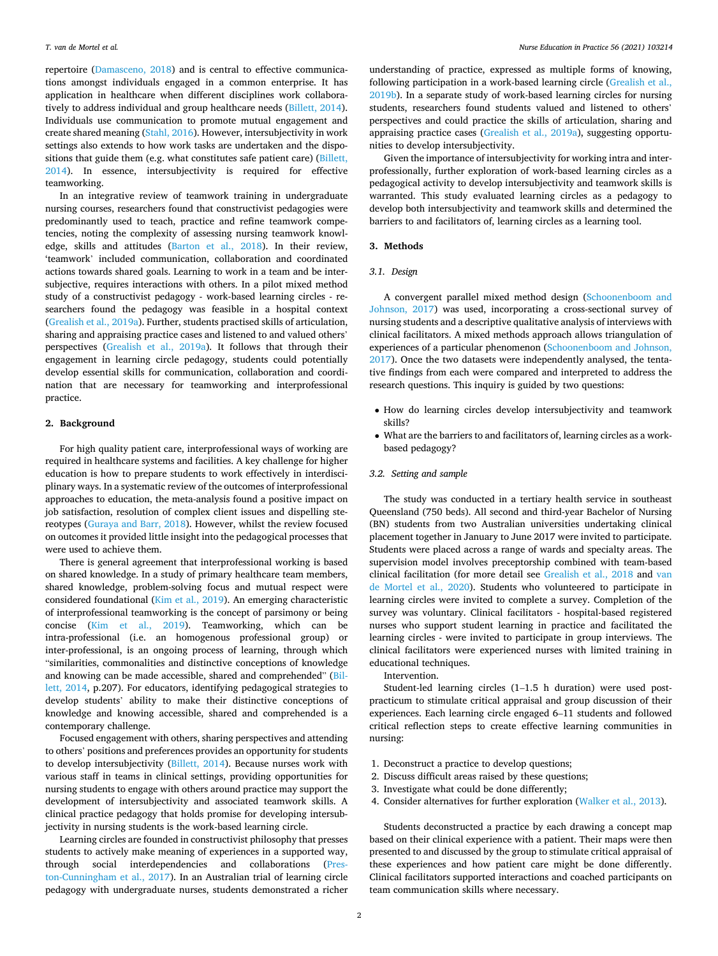repertoire ([Damasceno, 2018](#page-5-0)) and is central to effective communications amongst individuals engaged in a common enterprise. It has application in healthcare when different disciplines work collaboratively to address individual and group healthcare needs ([Billett, 2014](#page-5-0)). Individuals use communication to promote mutual engagement and create shared meaning ([Stahl, 2016](#page-5-0)). However, intersubjectivity in work settings also extends to how work tasks are undertaken and the dispositions that guide them (e.g. what constitutes safe patient care) [\(Billett,](#page-5-0)  [2014\)](#page-5-0). In essence, intersubjectivity is required for effective teamworking.

In an integrative review of teamwork training in undergraduate nursing courses, researchers found that constructivist pedagogies were predominantly used to teach, practice and refine teamwork competencies, noting the complexity of assessing nursing teamwork knowledge, skills and attitudes [\(Barton et al., 2018](#page-5-0)). In their review, 'teamwork' included communication, collaboration and coordinated actions towards shared goals. Learning to work in a team and be intersubjective, requires interactions with others. In a pilot mixed method study of a constructivist pedagogy - work-based learning circles - researchers found the pedagogy was feasible in a hospital context ([Grealish et al., 2019a\)](#page-5-0). Further, students practised skills of articulation, sharing and appraising practice cases and listened to and valued others' perspectives [\(Grealish et al., 2019a\)](#page-5-0). It follows that through their engagement in learning circle pedagogy, students could potentially develop essential skills for communication, collaboration and coordination that are necessary for teamworking and interprofessional practice.

#### **2. Background**

For high quality patient care, interprofessional ways of working are required in healthcare systems and facilities. A key challenge for higher education is how to prepare students to work effectively in interdisciplinary ways. In a systematic review of the outcomes of interprofessional approaches to education, the meta-analysis found a positive impact on job satisfaction, resolution of complex client issues and dispelling stereotypes ([Guraya and Barr, 2018](#page-5-0)). However, whilst the review focused on outcomes it provided little insight into the pedagogical processes that were used to achieve them.

There is general agreement that interprofessional working is based on shared knowledge. In a study of primary healthcare team members, shared knowledge, problem-solving focus and mutual respect were considered foundational ([Kim et al., 2019\)](#page-5-0). An emerging characteristic of interprofessional teamworking is the concept of parsimony or being concise ([Kim et al., 2019](#page-5-0)). Teamworking, which can be intra-professional (i.e. an homogenous professional group) or inter-professional, is an ongoing process of learning, through which "similarities, commonalities and distinctive conceptions of knowledge and knowing can be made accessible, shared and comprehended" [\(Bil](#page-5-0)[lett, 2014](#page-5-0), p.207). For educators, identifying pedagogical strategies to develop students' ability to make their distinctive conceptions of knowledge and knowing accessible, shared and comprehended is a contemporary challenge.

Focused engagement with others, sharing perspectives and attending to others' positions and preferences provides an opportunity for students to develop intersubjectivity [\(Billett, 2014\)](#page-5-0). Because nurses work with various staff in teams in clinical settings, providing opportunities for nursing students to engage with others around practice may support the development of intersubjectivity and associated teamwork skills. A clinical practice pedagogy that holds promise for developing intersubjectivity in nursing students is the work-based learning circle.

Learning circles are founded in constructivist philosophy that presses students to actively make meaning of experiences in a supported way, through social interdependencies and collaborations [\(Pres](#page-5-0)[ton-Cunningham et al., 2017](#page-5-0)). In an Australian trial of learning circle pedagogy with undergraduate nurses, students demonstrated a richer

understanding of practice, expressed as multiple forms of knowing, following participation in a work-based learning circle ([Grealish et al.,](#page-5-0)  [2019b\)](#page-5-0). In a separate study of work-based learning circles for nursing students, researchers found students valued and listened to others' perspectives and could practice the skills of articulation, sharing and appraising practice cases [\(Grealish et al., 2019a](#page-5-0)), suggesting opportunities to develop intersubjectivity.

Given the importance of intersubjectivity for working intra and interprofessionally, further exploration of work-based learning circles as a pedagogical activity to develop intersubjectivity and teamwork skills is warranted. This study evaluated learning circles as a pedagogy to develop both intersubjectivity and teamwork skills and determined the barriers to and facilitators of, learning circles as a learning tool.

## **3. Methods**

## *3.1. Design*

A convergent parallel mixed method design ([Schoonenboom and](#page-5-0)  [Johnson, 2017](#page-5-0)) was used, incorporating a cross-sectional survey of nursing students and a descriptive qualitative analysis of interviews with clinical facilitators. A mixed methods approach allows triangulation of experiences of a particular phenomenon [\(Schoonenboom and Johnson,](#page-5-0)  [2017\)](#page-5-0). Once the two datasets were independently analysed, the tentative findings from each were compared and interpreted to address the research questions. This inquiry is guided by two questions:

- How do learning circles develop intersubjectivity and teamwork skills?
- What are the barriers to and facilitators of, learning circles as a workbased pedagogy?

## *3.2. Setting and sample*

The study was conducted in a tertiary health service in southeast Queensland (750 beds). All second and third-year Bachelor of Nursing (BN) students from two Australian universities undertaking clinical placement together in January to June 2017 were invited to participate. Students were placed across a range of wards and specialty areas. The supervision model involves preceptorship combined with team-based clinical facilitation (for more detail see [Grealish et al., 2018](#page-5-0) and [van](#page-5-0)  [de Mortel et al., 2020\)](#page-5-0). Students who volunteered to participate in learning circles were invited to complete a survey. Completion of the survey was voluntary. Clinical facilitators - hospital-based registered nurses who support student learning in practice and facilitated the learning circles - were invited to participate in group interviews. The clinical facilitators were experienced nurses with limited training in educational techniques.

Intervention.

Student-led learning circles (1–1.5 h duration) were used postpracticum to stimulate critical appraisal and group discussion of their experiences. Each learning circle engaged 6–11 students and followed critical reflection steps to create effective learning communities in nursing:

- 1. Deconstruct a practice to develop questions;
- 2. Discuss difficult areas raised by these questions;
- 3. Investigate what could be done differently;
- 4. Consider alternatives for further exploration [\(Walker et al., 2013](#page-5-0)).

Students deconstructed a practice by each drawing a concept map based on their clinical experience with a patient. Their maps were then presented to and discussed by the group to stimulate critical appraisal of these experiences and how patient care might be done differently. Clinical facilitators supported interactions and coached participants on team communication skills where necessary.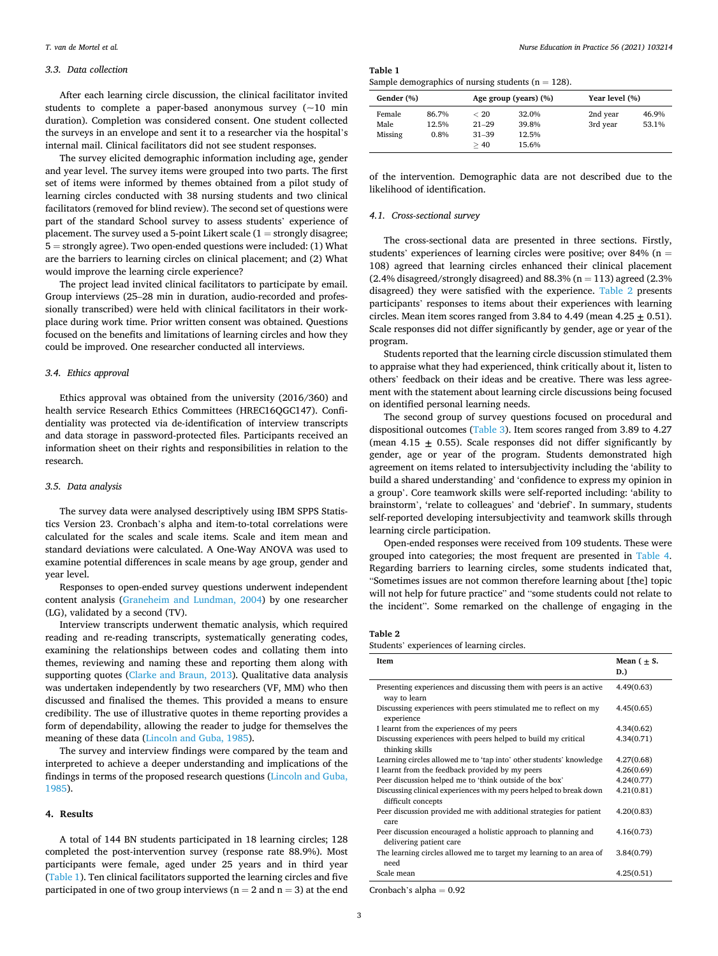### *3.3. Data collection*

After each learning circle discussion, the clinical facilitator invited students to complete a paper-based anonymous survey  $(-10 \text{ min}$ duration). Completion was considered consent. One student collected the surveys in an envelope and sent it to a researcher via the hospital's internal mail. Clinical facilitators did not see student responses.

The survey elicited demographic information including age, gender and year level. The survey items were grouped into two parts. The first set of items were informed by themes obtained from a pilot study of learning circles conducted with 38 nursing students and two clinical facilitators (removed for blind review). The second set of questions were part of the standard School survey to assess students' experience of placement. The survey used a 5-point Likert scale  $(1 =$  strongly disagree; 5 = strongly agree). Two open-ended questions were included: (1) What are the barriers to learning circles on clinical placement; and (2) What would improve the learning circle experience?

The project lead invited clinical facilitators to participate by email. Group interviews (25–28 min in duration, audio-recorded and professionally transcribed) were held with clinical facilitators in their workplace during work time. Prior written consent was obtained. Questions focused on the benefits and limitations of learning circles and how they could be improved. One researcher conducted all interviews.

## *3.4. Ethics approval*

Ethics approval was obtained from the university (2016/360) and health service Research Ethics Committees (HREC16QGC147). Confidentiality was protected via de-identification of interview transcripts and data storage in password-protected files. Participants received an information sheet on their rights and responsibilities in relation to the research.

## *3.5. Data analysis*

The survey data were analysed descriptively using IBM SPPS Statistics Version 23. Cronbach's alpha and item-to-total correlations were calculated for the scales and scale items. Scale and item mean and standard deviations were calculated. A One-Way ANOVA was used to examine potential differences in scale means by age group, gender and year level.

Responses to open-ended survey questions underwent independent content analysis ([Graneheim and Lundman, 2004](#page-5-0)) by one researcher (LG), validated by a second (TV).

Interview transcripts underwent thematic analysis, which required reading and re-reading transcripts, systematically generating codes, examining the relationships between codes and collating them into themes, reviewing and naming these and reporting them along with supporting quotes [\(Clarke and Braun, 2013](#page-5-0)). Qualitative data analysis was undertaken independently by two researchers (VF, MM) who then discussed and finalised the themes. This provided a means to ensure credibility. The use of illustrative quotes in theme reporting provides a form of dependability, allowing the reader to judge for themselves the meaning of these data [\(Lincoln and Guba, 1985](#page-5-0)).

The survey and interview findings were compared by the team and interpreted to achieve a deeper understanding and implications of the findings in terms of the proposed research questions ([Lincoln and Guba,](#page-5-0)  [1985\)](#page-5-0).

#### **4. Results**

A total of 144 BN students participated in 18 learning circles; 128 completed the post-intervention survey (response rate 88.9%). Most participants were female, aged under 25 years and in third year (Table 1). Ten clinical facilitators supported the learning circles and five participated in one of two group interviews ( $n = 2$  and  $n = 3$ ) at the end **Table 1** 

| Gender (%) |       | Age group (years) (%) |       | Year level (%) |       |
|------------|-------|-----------------------|-------|----------------|-------|
| Female     | 86.7% | < 20                  | 32.0% | 2nd year       | 46.9% |
| Male       | 12.5% | $21 - 29$             | 39.8% | 3rd year       | 53.1% |
| Missing    | 0.8%  | $31 - 39$             | 12.5% |                |       |
|            |       | >40                   | 15.6% |                |       |

of the intervention. Demographic data are not described due to the likelihood of identification.

### *4.1. Cross-sectional survey*

The cross-sectional data are presented in three sections. Firstly, students' experiences of learning circles were positive; over 84% ( $n =$ 108) agreed that learning circles enhanced their clinical placement (2.4% disagreed/strongly disagreed) and 88.3% ( $n = 113$ ) agreed (2.3% disagreed) they were satisfied with the experience. Table 2 presents participants' responses to items about their experiences with learning circles. Mean item scores ranged from  $3.84$  to  $4.49$  (mean  $4.25 + 0.51$ ). Scale responses did not differ significantly by gender, age or year of the program.

Students reported that the learning circle discussion stimulated them to appraise what they had experienced, think critically about it, listen to others' feedback on their ideas and be creative. There was less agreement with the statement about learning circle discussions being focused on identified personal learning needs.

The second group of survey questions focused on procedural and dispositional outcomes ([Table 3](#page-3-0)). Item scores ranged from 3.89 to 4.27 (mean  $4.15 \pm 0.55$ ). Scale responses did not differ significantly by gender, age or year of the program. Students demonstrated high agreement on items related to intersubjectivity including the 'ability to build a shared understanding' and 'confidence to express my opinion in a group'. Core teamwork skills were self-reported including: 'ability to brainstorm', 'relate to colleagues' and 'debrief'. In summary, students self-reported developing intersubjectivity and teamwork skills through learning circle participation.

Open-ended responses were received from 109 students. These were grouped into categories; the most frequent are presented in [Table 4](#page-3-0). Regarding barriers to learning circles, some students indicated that, "Sometimes issues are not common therefore learning about [the] topic will not help for future practice" and "some students could not relate to the incident". Some remarked on the challenge of engaging in the

**Table 2** 

Students' experiences of learning circles.

| Item                                                                                      | Mean $( + S.$<br>D.) |
|-------------------------------------------------------------------------------------------|----------------------|
| Presenting experiences and discussing them with peers is an active<br>way to learn        | 4.49(0.63)           |
| Discussing experiences with peers stimulated me to reflect on my<br>experience            | 4.45(0.65)           |
| I learnt from the experiences of my peers                                                 | 4.34(0.62)           |
| Discussing experiences with peers helped to build my critical<br>thinking skills          | 4.34(0.71)           |
| Learning circles allowed me to 'tap into' other students' knowledge                       | 4.27(0.68)           |
| I learnt from the feedback provided by my peers                                           | 4.26(0.69)           |
| Peer discussion helped me to 'think outside of the box'                                   | 4.24(0.77)           |
| Discussing clinical experiences with my peers helped to break down<br>difficult concepts  | 4.21(0.81)           |
| Peer discussion provided me with additional strategies for patient<br>care                | 4.20(0.83)           |
| Peer discussion encouraged a holistic approach to planning and<br>delivering patient care | 4.16(0.73)           |
| The learning circles allowed me to target my learning to an area of<br>need               | 3.84(0.79)           |
| Scale mean                                                                                | 4.25(0.51)           |

Cronbach's alpha = 0.92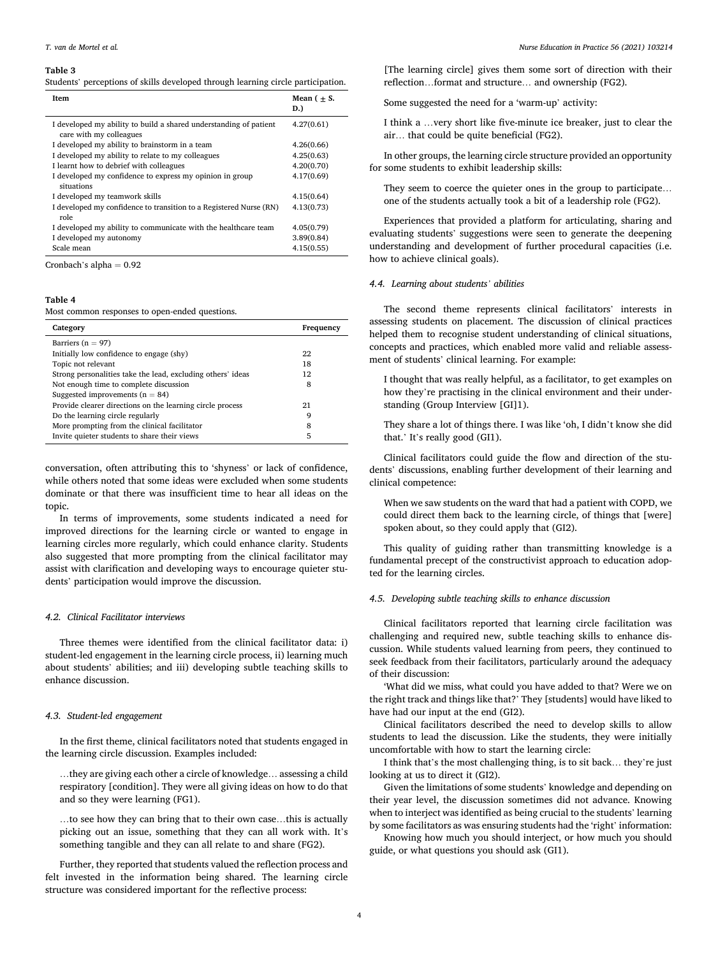#### <span id="page-3-0"></span>**Table 3**

Students' perceptions of skills developed through learning circle participation.

| <b>Item</b>                                                                                  | Mean $( + S.$<br>D.) |
|----------------------------------------------------------------------------------------------|----------------------|
| I developed my ability to build a shared understanding of patient<br>care with my colleagues | 4.27(0.61)           |
| I developed my ability to brainstorm in a team                                               | 4.26(0.66)           |
| I developed my ability to relate to my colleagues                                            | 4.25(0.63)           |
| I learnt how to debrief with colleagues                                                      | 4.20(0.70)           |
| I developed my confidence to express my opinion in group<br>situations                       | 4.17(0.69)           |
| I developed my teamwork skills                                                               | 4.15(0.64)           |
| I developed my confidence to transition to a Registered Nurse (RN)<br>role                   | 4.13(0.73)           |
| I developed my ability to communicate with the healthcare team                               | 4.05(0.79)           |
| I developed my autonomy                                                                      | 3.89(0.84)           |
| Scale mean                                                                                   | 4.15(0.55)           |

Cronbach's alpha  $= 0.92$ 

## **Table 4**

Most common responses to open-ended questions.

| Category                                                    | Frequency |
|-------------------------------------------------------------|-----------|
| Barriers ( $n = 97$ )                                       |           |
| Initially low confidence to engage (shy)                    | 22        |
| Topic not relevant                                          | 18        |
| Strong personalities take the lead, excluding others' ideas | 12        |
| Not enough time to complete discussion                      | 8         |
| Suggested improvements ( $n = 84$ )                         |           |
| Provide clearer directions on the learning circle process   | 21        |
| Do the learning circle regularly                            | 9         |
| More prompting from the clinical facilitator                | 8         |
| Invite quieter students to share their views                | 5         |
|                                                             |           |

conversation, often attributing this to 'shyness' or lack of confidence, while others noted that some ideas were excluded when some students dominate or that there was insufficient time to hear all ideas on the topic.

In terms of improvements, some students indicated a need for improved directions for the learning circle or wanted to engage in learning circles more regularly, which could enhance clarity. Students also suggested that more prompting from the clinical facilitator may assist with clarification and developing ways to encourage quieter students' participation would improve the discussion.

## *4.2. Clinical Facilitator interviews*

Three themes were identified from the clinical facilitator data: i) student-led engagement in the learning circle process, ii) learning much about students' abilities; and iii) developing subtle teaching skills to enhance discussion.

## *4.3. Student-led engagement*

In the first theme, clinical facilitators noted that students engaged in the learning circle discussion. Examples included:

…they are giving each other a circle of knowledge… assessing a child respiratory [condition]. They were all giving ideas on how to do that and so they were learning (FG1).

…to see how they can bring that to their own case…this is actually picking out an issue, something that they can all work with. It's something tangible and they can all relate to and share (FG2).

Further, they reported that students valued the reflection process and felt invested in the information being shared. The learning circle structure was considered important for the reflective process:

[The learning circle] gives them some sort of direction with their reflection…format and structure… and ownership (FG2).

Some suggested the need for a 'warm-up' activity:

I think a …very short like five-minute ice breaker, just to clear the air… that could be quite beneficial (FG2).

In other groups, the learning circle structure provided an opportunity for some students to exhibit leadership skills:

They seem to coerce the quieter ones in the group to participate… one of the students actually took a bit of a leadership role (FG2).

Experiences that provided a platform for articulating, sharing and evaluating students' suggestions were seen to generate the deepening understanding and development of further procedural capacities (i.e. how to achieve clinical goals).

## *4.4. Learning about students' abilities*

The second theme represents clinical facilitators' interests in assessing students on placement. The discussion of clinical practices helped them to recognise student understanding of clinical situations, concepts and practices, which enabled more valid and reliable assessment of students' clinical learning. For example:

I thought that was really helpful, as a facilitator, to get examples on how they're practising in the clinical environment and their understanding (Group Interview [GI]1).

They share a lot of things there. I was like 'oh, I didn't know she did that.' It's really good (GI1).

Clinical facilitators could guide the flow and direction of the students' discussions, enabling further development of their learning and clinical competence:

When we saw students on the ward that had a patient with COPD, we could direct them back to the learning circle, of things that [were] spoken about, so they could apply that (GI2).

This quality of guiding rather than transmitting knowledge is a fundamental precept of the constructivist approach to education adopted for the learning circles.

## *4.5. Developing subtle teaching skills to enhance discussion*

Clinical facilitators reported that learning circle facilitation was challenging and required new, subtle teaching skills to enhance discussion. While students valued learning from peers, they continued to seek feedback from their facilitators, particularly around the adequacy of their discussion:

'What did we miss, what could you have added to that? Were we on the right track and things like that?' They [students] would have liked to have had our input at the end (GI2).

Clinical facilitators described the need to develop skills to allow students to lead the discussion. Like the students, they were initially uncomfortable with how to start the learning circle:

I think that's the most challenging thing, is to sit back… they're just looking at us to direct it (GI2).

Given the limitations of some students' knowledge and depending on their year level, the discussion sometimes did not advance. Knowing when to interject was identified as being crucial to the students' learning by some facilitators as was ensuring students had the 'right' information:

Knowing how much you should interject, or how much you should guide, or what questions you should ask (GI1).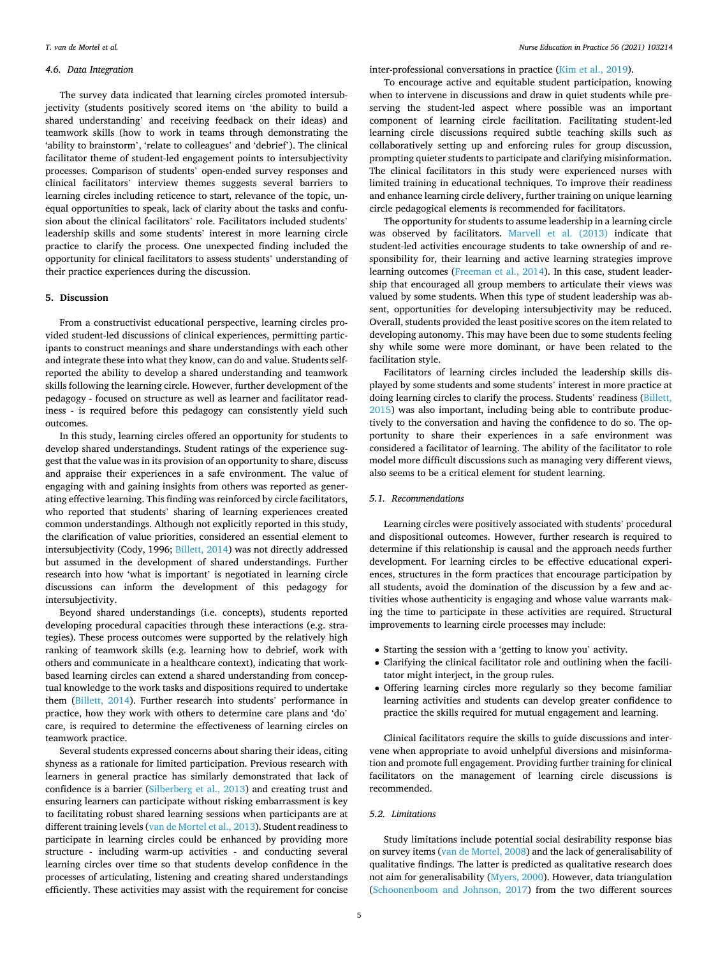#### *4.6. Data Integration*

The survey data indicated that learning circles promoted intersubjectivity (students positively scored items on 'the ability to build a shared understanding' and receiving feedback on their ideas) and teamwork skills (how to work in teams through demonstrating the 'ability to brainstorm', 'relate to colleagues' and 'debrief'). The clinical facilitator theme of student-led engagement points to intersubjectivity processes. Comparison of students' open-ended survey responses and clinical facilitators' interview themes suggests several barriers to learning circles including reticence to start, relevance of the topic, unequal opportunities to speak, lack of clarity about the tasks and confusion about the clinical facilitators' role. Facilitators included students' leadership skills and some students' interest in more learning circle practice to clarify the process. One unexpected finding included the opportunity for clinical facilitators to assess students' understanding of their practice experiences during the discussion.

## **5. Discussion**

From a constructivist educational perspective, learning circles provided student-led discussions of clinical experiences, permitting participants to construct meanings and share understandings with each other and integrate these into what they know, can do and value. Students selfreported the ability to develop a shared understanding and teamwork skills following the learning circle. However, further development of the pedagogy - focused on structure as well as learner and facilitator readiness - is required before this pedagogy can consistently yield such outcomes.

In this study, learning circles offered an opportunity for students to develop shared understandings. Student ratings of the experience suggest that the value was in its provision of an opportunity to share, discuss and appraise their experiences in a safe environment. The value of engaging with and gaining insights from others was reported as generating effective learning. This finding was reinforced by circle facilitators, who reported that students' sharing of learning experiences created common understandings. Although not explicitly reported in this study, the clarification of value priorities, considered an essential element to intersubjectivity (Cody, 1996; [Billett, 2014](#page-5-0)) was not directly addressed but assumed in the development of shared understandings. Further research into how 'what is important' is negotiated in learning circle discussions can inform the development of this pedagogy for intersubjectivity.

Beyond shared understandings (i.e. concepts), students reported developing procedural capacities through these interactions (e.g. strategies). These process outcomes were supported by the relatively high ranking of teamwork skills (e.g. learning how to debrief, work with others and communicate in a healthcare context), indicating that workbased learning circles can extend a shared understanding from conceptual knowledge to the work tasks and dispositions required to undertake them [\(Billett, 2014\)](#page-5-0). Further research into students' performance in practice, how they work with others to determine care plans and 'do' care, is required to determine the effectiveness of learning circles on teamwork practice.

Several students expressed concerns about sharing their ideas, citing shyness as a rationale for limited participation. Previous research with learners in general practice has similarly demonstrated that lack of confidence is a barrier ([Silberberg et al., 2013\)](#page-5-0) and creating trust and ensuring learners can participate without risking embarrassment is key to facilitating robust shared learning sessions when participants are at different training levels ([van de Mortel et al., 2013\)](#page-5-0). Student readiness to participate in learning circles could be enhanced by providing more structure - including warm-up activities - and conducting several learning circles over time so that students develop confidence in the processes of articulating, listening and creating shared understandings efficiently. These activities may assist with the requirement for concise inter-professional conversations in practice [\(Kim et al., 2019\)](#page-5-0).

To encourage active and equitable student participation, knowing when to intervene in discussions and draw in quiet students while preserving the student-led aspect where possible was an important component of learning circle facilitation. Facilitating student-led learning circle discussions required subtle teaching skills such as collaboratively setting up and enforcing rules for group discussion, prompting quieter students to participate and clarifying misinformation. The clinical facilitators in this study were experienced nurses with limited training in educational techniques. To improve their readiness and enhance learning circle delivery, further training on unique learning circle pedagogical elements is recommended for facilitators.

The opportunity for students to assume leadership in a learning circle was observed by facilitators. [Marvell et al. \(2013\)](#page-5-0) indicate that student-led activities encourage students to take ownership of and responsibility for, their learning and active learning strategies improve learning outcomes ([Freeman et al., 2014\)](#page-5-0). In this case, student leadership that encouraged all group members to articulate their views was valued by some students. When this type of student leadership was absent, opportunities for developing intersubjectivity may be reduced. Overall, students provided the least positive scores on the item related to developing autonomy. This may have been due to some students feeling shy while some were more dominant, or have been related to the facilitation style.

Facilitators of learning circles included the leadership skills displayed by some students and some students' interest in more practice at doing learning circles to clarify the process. Students' readiness (Billett, [2015\)](#page-5-0) was also important, including being able to contribute productively to the conversation and having the confidence to do so. The opportunity to share their experiences in a safe environment was considered a facilitator of learning. The ability of the facilitator to role model more difficult discussions such as managing very different views, also seems to be a critical element for student learning.

#### *5.1. Recommendations*

Learning circles were positively associated with students' procedural and dispositional outcomes. However, further research is required to determine if this relationship is causal and the approach needs further development. For learning circles to be effective educational experiences, structures in the form practices that encourage participation by all students, avoid the domination of the discussion by a few and activities whose authenticity is engaging and whose value warrants making the time to participate in these activities are required. Structural improvements to learning circle processes may include:

- Starting the session with a 'getting to know you' activity.
- Clarifying the clinical facilitator role and outlining when the facilitator might interject, in the group rules.
- Offering learning circles more regularly so they become familiar learning activities and students can develop greater confidence to practice the skills required for mutual engagement and learning.

Clinical facilitators require the skills to guide discussions and intervene when appropriate to avoid unhelpful diversions and misinformation and promote full engagement. Providing further training for clinical facilitators on the management of learning circle discussions is recommended.

#### *5.2. Limitations*

Study limitations include potential social desirability response bias on survey items [\(van de Mortel, 2008\)](#page-5-0) and the lack of generalisability of qualitative findings. The latter is predicted as qualitative research does not aim for generalisability [\(Myers, 2000\)](#page-5-0). However, data triangulation ([Schoonenboom and Johnson, 2017\)](#page-5-0) from the two different sources